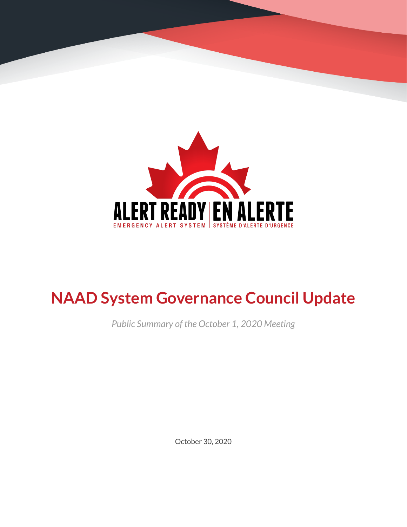

# **NAAD System Governance Council Update**

*Public Summary of the October 1, 2020 Meeting*

October 30, 2020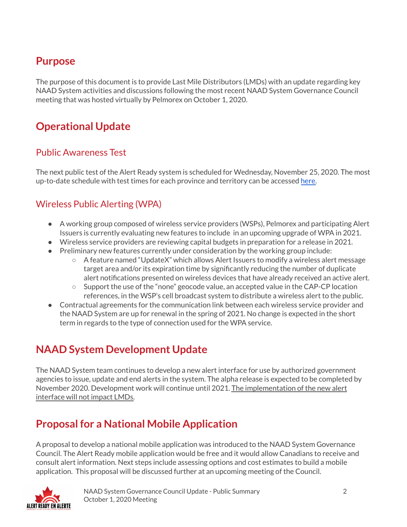### **Purpose**

The purpose of this document is to provide Last Mile Distributors (LMDs) with an update regarding key NAAD System activities and discussions following the most recent NAAD System Governance Council meeting that was hosted virtually by Pelmorex on October 1, 2020.

# **Operational Update**

#### Public Awareness Test

The next public test of the Alert Ready system is scheduled for Wednesday, November 25, 2020. The most up-to-date schedule with test times for each province and territory can be accessed [here.](https://alerts.pelmorex.com/#test-schedule)

#### Wireless Public Alerting (WPA)

- A working group composed of wireless service providers (WSPs), Pelmorex and participating Alert Issuers is currently evaluating new features to include in an upcoming upgrade of WPA in 2021.
- Wireless service providers are reviewing capital budgets in preparation for a release in 2021.
- Breliminary new features currently under consideration by the working group include:
	- A feature named "UpdateX" which allows Alert Issuers to modify a wireless alert message target area and/or its expiration time by significantly reducing the number of duplicate alert notifications presented on wireless devices that have already received an active alert.
	- $\circ$  Support the use of the "none" geocode value, an accepted value in the CAP-CP location references, in the WSP's cell broadcast system to distribute a wireless alert to the public.
- Contractual agreements for the communication link between each wireless service provider and the NAAD System are up for renewal in the spring of 2021. No change is expected in the short term in regards to the type of connection used for the WPA service.

## **NAAD System Development Update**

The NAAD System team continues to develop a new alert interface for use by authorized government agencies to issue, update and end alerts in the system. The alpha release is expected to be completed by November 2020. Development work will continue until 2021. The implementation of the new alert interface will not impact LMDs.

## **Proposal for a National Mobile Application**

A proposal to develop a national mobile application was introduced to the NAAD System Governance Council. The Alert Ready mobile application would be free and it would allow Canadians to receive and consult alert information. Next steps include assessing options and cost estimates to build a mobile application. This proposal will be discussed further at an upcoming meeting of the Council.